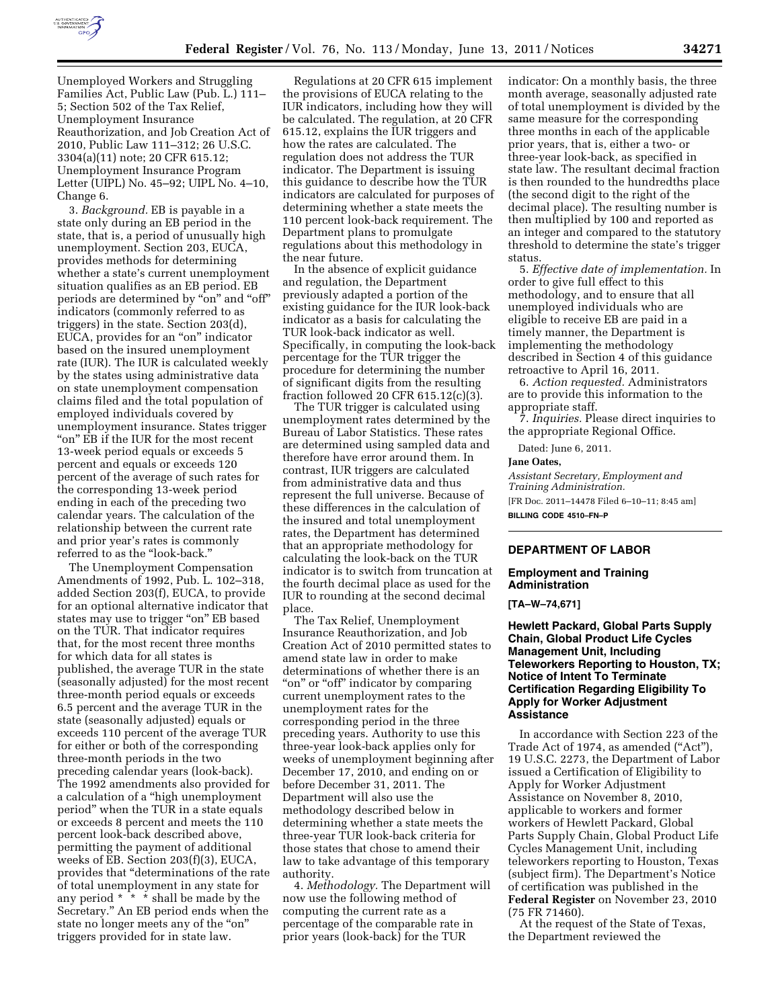

Change 6. 3. *Background.* EB is payable in a state only during an EB period in the state, that is, a period of unusually high unemployment. Section 203, EUCA, provides methods for determining whether a state's current unemployment situation qualifies as an EB period. EB periods are determined by ''on'' and ''off'' indicators (commonly referred to as triggers) in the state. Section 203(d), EUCA, provides for an "on" indicator based on the insured unemployment rate (IUR). The IUR is calculated weekly by the states using administrative data on state unemployment compensation claims filed and the total population of employed individuals covered by unemployment insurance. States trigger ''on'' EB if the IUR for the most recent 13-week period equals or exceeds 5 percent and equals or exceeds 120 percent of the average of such rates for the corresponding 13-week period ending in each of the preceding two calendar years. The calculation of the relationship between the current rate and prior year's rates is commonly referred to as the ''look-back.''

The Unemployment Compensation Amendments of 1992, Pub. L. 102–318, added Section 203(f), EUCA, to provide for an optional alternative indicator that states may use to trigger "on" EB based on the TUR. That indicator requires that, for the most recent three months for which data for all states is published, the average TUR in the state (seasonally adjusted) for the most recent three-month period equals or exceeds 6.5 percent and the average TUR in the state (seasonally adjusted) equals or exceeds 110 percent of the average TUR for either or both of the corresponding three-month periods in the two preceding calendar years (look-back). The 1992 amendments also provided for a calculation of a ''high unemployment period'' when the TUR in a state equals or exceeds 8 percent and meets the 110 percent look-back described above, permitting the payment of additional weeks of EB. Section 203(f)(3), EUCA, provides that ''determinations of the rate of total unemployment in any state for any period  $* \cdot * \cdot *$  shall be made by the Secretary.'' An EB period ends when the state no longer meets any of the "on" triggers provided for in state law.

Regulations at 20 CFR 615 implement the provisions of EUCA relating to the IUR indicators, including how they will be calculated. The regulation, at 20 CFR 615.12, explains the IUR triggers and how the rates are calculated. The regulation does not address the TUR indicator. The Department is issuing this guidance to describe how the TUR indicators are calculated for purposes of determining whether a state meets the 110 percent look-back requirement. The Department plans to promulgate regulations about this methodology in the near future.

In the absence of explicit guidance and regulation, the Department previously adapted a portion of the existing guidance for the IUR look-back indicator as a basis for calculating the TUR look-back indicator as well. Specifically, in computing the look-back percentage for the TUR trigger the procedure for determining the number of significant digits from the resulting fraction followed 20 CFR 615.12(c)(3).

The TUR trigger is calculated using unemployment rates determined by the Bureau of Labor Statistics. These rates are determined using sampled data and therefore have error around them. In contrast, IUR triggers are calculated from administrative data and thus represent the full universe. Because of these differences in the calculation of the insured and total unemployment rates, the Department has determined that an appropriate methodology for calculating the look-back on the TUR indicator is to switch from truncation at the fourth decimal place as used for the IUR to rounding at the second decimal place.

The Tax Relief, Unemployment Insurance Reauthorization, and Job Creation Act of 2010 permitted states to amend state law in order to make determinations of whether there is an "on" or "off" indicator by comparing current unemployment rates to the unemployment rates for the corresponding period in the three preceding years. Authority to use this three-year look-back applies only for weeks of unemployment beginning after December 17, 2010, and ending on or before December 31, 2011. The Department will also use the methodology described below in determining whether a state meets the three-year TUR look-back criteria for those states that chose to amend their law to take advantage of this temporary authority.

4. *Methodology.* The Department will now use the following method of computing the current rate as a percentage of the comparable rate in prior years (look-back) for the TUR

indicator: On a monthly basis, the three month average, seasonally adjusted rate of total unemployment is divided by the same measure for the corresponding three months in each of the applicable prior years, that is, either a two- or three-year look-back, as specified in state law. The resultant decimal fraction is then rounded to the hundredths place (the second digit to the right of the decimal place). The resulting number is then multiplied by 100 and reported as an integer and compared to the statutory threshold to determine the state's trigger status.

5. *Effective date of implementation.* In order to give full effect to this methodology, and to ensure that all unemployed individuals who are eligible to receive EB are paid in a timely manner, the Department is implementing the methodology described in Section 4 of this guidance retroactive to April 16, 2011.

6. *Action requested.* Administrators are to provide this information to the appropriate staff.

7. *Inquiries.* Please direct inquiries to the appropriate Regional Office.

Dated: June 6, 2011.

#### **Jane Oates,**

*Assistant Secretary, Employment and Training Administration.*  [FR Doc. 2011–14478 Filed 6–10–11; 8:45 am] **BILLING CODE 4510–FN–P** 

## **DEPARTMENT OF LABOR**

#### **Employment and Training Administration**

**[TA–W–74,671]** 

# **Hewlett Packard, Global Parts Supply Chain, Global Product Life Cycles Management Unit, Including Teleworkers Reporting to Houston, TX; Notice of Intent To Terminate Certification Regarding Eligibility To Apply for Worker Adjustment Assistance**

In accordance with Section 223 of the Trade Act of 1974, as amended ("Act"), 19 U.S.C. 2273, the Department of Labor issued a Certification of Eligibility to Apply for Worker Adjustment Assistance on November 8, 2010, applicable to workers and former workers of Hewlett Packard, Global Parts Supply Chain, Global Product Life Cycles Management Unit, including teleworkers reporting to Houston, Texas (subject firm). The Department's Notice of certification was published in the **Federal Register** on November 23, 2010 (75 FR 71460).

At the request of the State of Texas, the Department reviewed the